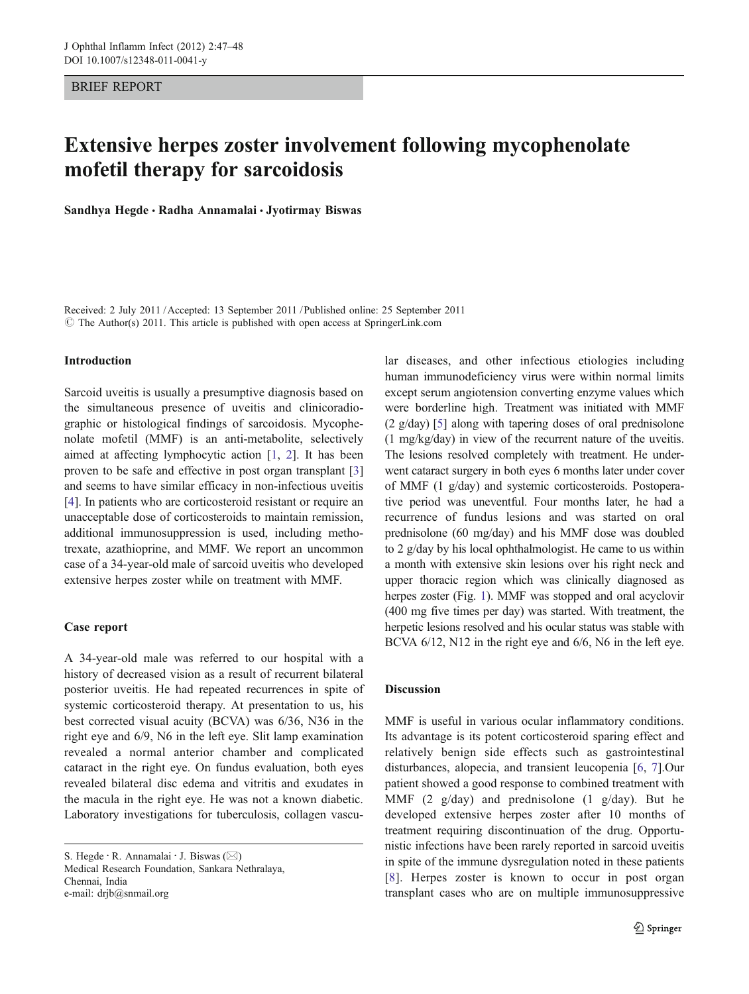## BRIEF REPORT

# Extensive herpes zoster involvement following mycophenolate mofetil therapy for sarcoidosis

Sandhya Hegde · Radha Annamalai · Jyotirmay Biswas

Received: 2 July 2011 /Accepted: 13 September 2011 / Published online: 25 September 2011 © The Author(s) 2011. This article is published with open access at SpringerLink.com

#### Introduction

Sarcoid uveitis is usually a presumptive diagnosis based on the simultaneous presence of uveitis and clinicoradiographic or histological findings of sarcoidosis. Mycophenolate mofetil (MMF) is an anti-metabolite, selectively aimed at affecting lymphocytic action [[1,](#page-1-0) [2](#page-1-0)]. It has been proven to be safe and effective in post organ transplant [[3\]](#page-1-0) and seems to have similar efficacy in non-infectious uveitis [\[4](#page-1-0)]. In patients who are corticosteroid resistant or require an unacceptable dose of corticosteroids to maintain remission, additional immunosuppression is used, including methotrexate, azathioprine, and MMF. We report an uncommon case of a 34-year-old male of sarcoid uveitis who developed extensive herpes zoster while on treatment with MMF.

## Case report

A 34-year-old male was referred to our hospital with a history of decreased vision as a result of recurrent bilateral posterior uveitis. He had repeated recurrences in spite of systemic corticosteroid therapy. At presentation to us, his best corrected visual acuity (BCVA) was 6/36, N36 in the right eye and 6/9, N6 in the left eye. Slit lamp examination revealed a normal anterior chamber and complicated cataract in the right eye. On fundus evaluation, both eyes revealed bilateral disc edema and vitritis and exudates in the macula in the right eye. He was not a known diabetic. Laboratory investigations for tuberculosis, collagen vascu-

S. Hegde  $\cdot$  R. Annamalai  $\cdot$  J. Biswas ( $\boxtimes$ ) Medical Research Foundation, Sankara Nethralaya, Chennai, India

e-mail: drjb@snmail.org

lar diseases, and other infectious etiologies including human immunodeficiency virus were within normal limits except serum angiotension converting enzyme values which were borderline high. Treatment was initiated with MMF (2 g/day) [[5\]](#page-1-0) along with tapering doses of oral prednisolone (1 mg/kg/day) in view of the recurrent nature of the uveitis. The lesions resolved completely with treatment. He underwent cataract surgery in both eyes 6 months later under cover of MMF (1 g/day) and systemic corticosteroids. Postoperative period was uneventful. Four months later, he had a recurrence of fundus lesions and was started on oral prednisolone (60 mg/day) and his MMF dose was doubled to 2 g/day by his local ophthalmologist. He came to us within a month with extensive skin lesions over his right neck and upper thoracic region which was clinically diagnosed as herpes zoster (Fig. [1\)](#page-1-0). MMF was stopped and oral acyclovir (400 mg five times per day) was started. With treatment, the herpetic lesions resolved and his ocular status was stable with BCVA  $6/12$ , N12 in the right eye and  $6/6$ , N6 in the left eye.

### Discussion

MMF is useful in various ocular inflammatory conditions. Its advantage is its potent corticosteroid sparing effect and relatively benign side effects such as gastrointestinal disturbances, alopecia, and transient leucopenia [[6,](#page-1-0) [7](#page-1-0)].Our patient showed a good response to combined treatment with MMF (2 g/day) and prednisolone (1 g/day). But he developed extensive herpes zoster after 10 months of treatment requiring discontinuation of the drug. Opportunistic infections have been rarely reported in sarcoid uveitis in spite of the immune dysregulation noted in these patients [\[8\]](#page-1-0). Herpes zoster is known to occur in post organ transplant cases who are on multiple immunosuppressive